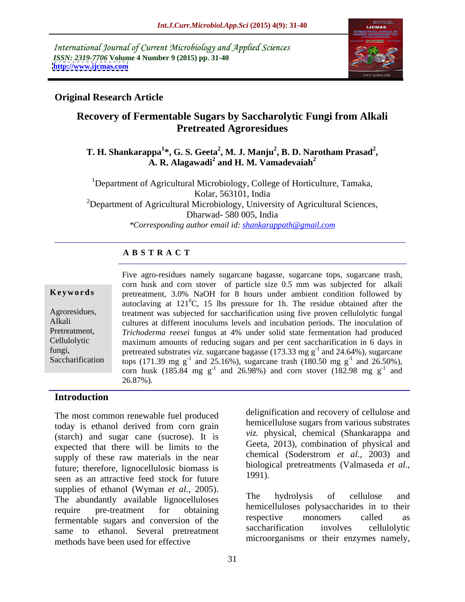International Journal of Current Microbiology and Applied Sciences *ISSN: 2319-7706* **Volume 4 Number 9 (2015) pp. 31-40 <http://www.ijcmas.com>**



## **Original Research Article**

# **Recovery of Fermentable Sugars by Saccharolytic Fungi from Alkali Pretreated Agroresidues**

### **T. H. Shankarappa<sup>1</sup>\*, G. S. Geeta<sup>2</sup>, M. J. Manju<sup>2</sup>, B. D. Narotham Prasad<sup>2</sup>, A. R. Alagawadi<sup>2</sup> and H. M. Vamadevaiah<sup>2</sup> and H. M. Vamadevaiah<sup>2</sup>**

<sup>1</sup>Department of Agricultural Microbiology, College of Horticulture, Tamaka, Kolar, 563101, India <sup>2</sup>Department of Agricultural Microbiology, University of Agricultural Sciences, Dharwad- 580 005, India *\*Corresponding author email id: shankarappath@gmail.com*

### **A B S T R A C T**

Saccharification

Five agro-residues namely sugarcane bagasse, sugarcane tops, sugarcane trash, corn husk and corn stover of particle size 0.5 mm was subjected for alkali **Keywords** pretreatment, 3.0% NaOH for 8 hours under ambient condition followed by autoclaving at  $121^{\circ}$ C, 15 lbs pressure for 1h. The residue obtained after the Agroresidues, treatment was subjected for saccharification using five proven cellulolytic fungal cultures at different inoculums levels and incubation periods. The inoculation of Alkali *Trichoderma reesei* fungus at 4% under solid state fermentation had produced Pretreatment, maximum amounts of reducing sugars and per cent saccharification in 6 days in Cellulolytic fungi, pretreated substrates *viz*. sugarcane bagasse  $(173.33 \text{ mg g}^{-1})$  and 24.64%), sugarcane tops (171.39 mg g<sup>-1</sup> and 25.16%), sugarcane trash (180.50 mg g<sup>-1</sup> and 26.50%),  $-1$  and  $26.500(1)$ and 26.50%), corn husk (185.84 mg  $g^{-1}$  and 26.98%) and corn stover (182.98 mg  $g^{-1}$  and  $^{-1}$  and and 26.87%).

## **Introduction**

The most common renewable fuel produced today is ethanol derived from corn grain (starch) and sugar cane (sucrose). It is expected that there will be limits to the supply of these raw materials in the near future; therefore, lignocellulosic biomass is <sup>blology</sup><br>seen as an ettractive food stock for future 1991). seen as an attractive feed stock for future supplies of ethanol (Wyman *et al.*, 2005).<br>The hydrolysis of cellulose and<br>intervalse lignocelluloses fermentable sugars and conversion of the respective monomers called as<br>saccharification involves cellulolytic same to ethanol. Several pretreatment methods have been used for effective

delignification and recovery of cellulose and hemicellulose sugars from various substrates *viz.* physical, chemical (Shankarappa and Geeta, 2013), combination of physical and chemical (Soderstrom *et al.,* 2003) and biological pretreatments (Valmaseda *et al.,* 1991).

require pre-treatment for obtaining neurocentriones polysaccharides in to their The hydrolysis of cellulose and hemicelluloses polysaccharides in to their respective monomers called as saccharification involves cellulolytic microorganisms or their enzymes namely,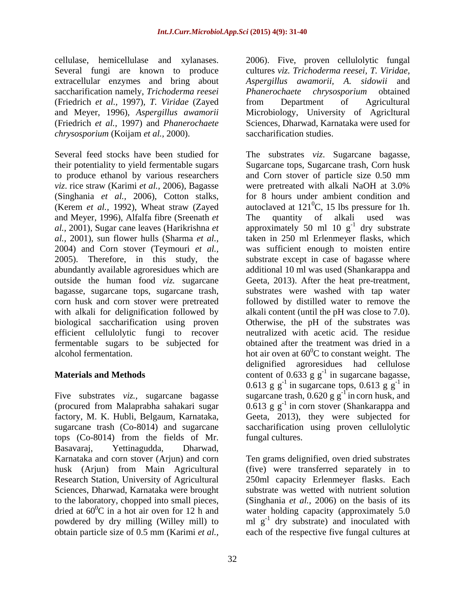Several fungi are known to produce saccharification namely, *Trichoderma reesei* (Friedrich *et al.,* 1997)*, T. Viridae* (Zayed (Friedrich *et al.,* 1997) and *Phanerochaete chrysosporium* (Koijam *et al.,* 2000).

*viz*. rice straw (Karimi *et al.,* 2006), Bagasse (Kerem *et al.,* 1992), Wheat straw (Zayed and Meyer, 1996), Alfalfa fibre (Sreenath *et* The quantity of alkali used was bagasse, sugarcane tops, sugarcane trash, efficient cellulolytic fungi to recover fermentable sugars to be subjected for

tops (Co-8014) from the fields of Mr. Basavaraj, Yettinagudda, Dharwad, husk (Arjun) from Main Agricultural Sciences, Dharwad, Karnataka were brought

cellulase, hemicellulase and xylanases. 2006). Five, proven cellulolytic fungal extracellular enzymes and bring about *Aspergillus awamorii, A. sidowii* and and Meyer, 1996)*, Aspergillus awamorii*  Microbiology, University of Agricltural cultures *viz. Trichoderma reesei, T. Viridae, Phanerochaete chrysosporium* obtained from Department of Agricultural Sciences, Dharwad, Karnataka were used for saccharification studies.

Several feed stocks have been studied for The substrates *viz*. Sugarcane bagasse, their potentiality to yield fermentable sugars Sugarcane tops, Sugarcane trash, Corn husk to produce ethanol by various researchers and Corn stover of particle size 0.50 mm (Singhania *et al.,* 2006), Cotton stalks, for 8 hours under ambient condition and *al.,* 2001), Sugar cane leaves (Harikrishna *et*  approximately 50 ml 10 g *al.,* 2001), sun flower hulls (Sharma *et al.,* taken in 250 ml Erlenmeyer flasks, which 2004) and Corn stover (Teymouri *et al.,* was sufficient enough to moisten entire 2005). Therefore, in this study, the substrate except in case of bagasse where abundantly available agroresidues which are additional 10 ml was used (Shankarappa and outside the human food *viz.* sugarcane Geeta, 2013). After the heat pre-treatment, corn husk and corn stover were pretreated followed by distilled water to remove the with alkali for delignification followed by alkali content (until the pH was close to 7.0). biological saccharification using proven Otherwise, the pH of the substrates was alcohol fermentation.  $\frac{1}{2}$  hot air oven at  $60^0C$  to constant weight. The **Materials and Methods**  $\qquad \qquad$  content of 0.633 g g<sup>-1</sup> in sugarcane bagasse, Five substrates *viz.*, sugarcane bagasse sugarcane trash,  $0.620$  g g<sup>-1</sup> in corn husk, and (procured from Malaprabha sahakari sugar  $0.613$  g g<sup>-1</sup> in corn stover (Shankarappa and factory, M. K. Hubli, Belgaum, Karnataka, Geeta, 2013), they were subjected for sugarcane trash (Co-8014) and sugarcane saccharification using proven cellulolytic were pretreated with alkali NaOH at 3.0% autoclaved at  $121^{\circ}$ C, 15 lbs pressure for 1h.  ${}^{0}C$ , 15 lbs pressure for 1h. The quantity of alkali used was  $^{-1}$  dry substrate dry substrate substrates were washed with tap water neutralized with acetic acid. The residue obtained after the treatment was dried in a delignified agroresidues had cellulose in sugarcane bagasse, 0.613 g  $g^{-1}$  in sugarcane tops, 0.613 g  $g^{-1}$  in  $^{-1}$  in fungal cultures.

Karnataka and corn stover (Arjun) and corn Ten grams delignified, oven dried substrates Research Station, University of Agricultural 250ml capacity Erlenmeyer flasks. Each to the laboratory, chopped into small pieces, (Singhania *et al.,* 2006) on the basis of its dried at 60<sup>°</sup>C in a hot air oven for 12 h and water holding capacity (approximately 5.0 powdered by dry milling (Willey mill) to  $\text{ml } g^{-1}$  dry substrate) and inoculated with obtain particle size of 0.5 mm (Karimi *et al.,* each of the respective five fungal cultures at(five) were transferred separately in to substrate was wetted with nutrient solution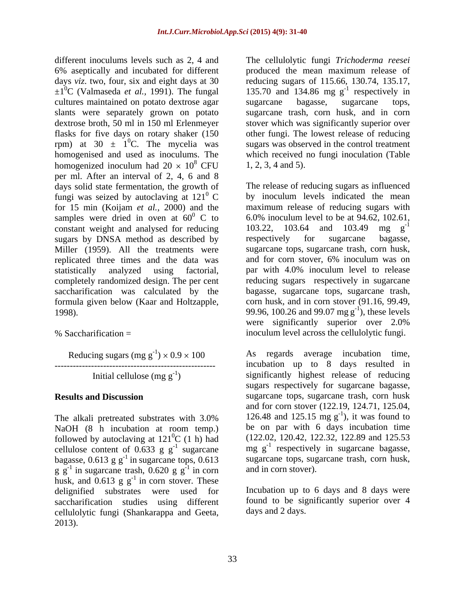different inoculums levels such as 2, 4 and The cellulolytic fungi *Trichoderma reesei* 6% aseptically and incubated for different produced the mean maximum release of days *viz*. two, four, six and eight days at 30  $\pm 1^{0}$ C (Valmaseda *et al.*, 1991). The fungal 135.70 and 134.86 mg g<sup>-1</sup> respectively in cultures maintained on potato dextrose agar sugarcane bagasse, sugarcane tops, slants were separately grown on potato dextrose broth, 50 ml in 150 ml Erlenmeyer stover which was significantly superior over flasks for five days on rotary shaker (150 other fungi. The lowest release of reducing rpm) at 30  $\pm$  1<sup>0</sup>C. The mycelia was homogenised and used as inoculums. The which received no fungi inoculation (Table homogenized inoculum had  $20 \times 10^8$  CFU per ml. After an interval of 2, 4, 6 and 8 days solid state fermentation, the growth of fungi was seized by autoclaving at  $121^{\circ}$  C for 15 min (Koijam *et al.*, 2000) and the samples were dried in oven at  $60^{\circ}$  C to samples were dried in oven at  $60^{\circ}$  C to 6.0% inoculum level to be at 94.62, 102.61, constant weight and analysed for reducing  $103.22$ ,  $103.64$  and  $103.49$  mg  $g^{-1}$  sugars by DNSA method as described by respectively for sugarcane bagasse, sugars by DNSA method as described by respectively for Miller (1959). All the treatments were replicated three times and the data was and for corn stover, 6% inoculum was on statistically analyzed using factorial, par with 4.0% inoculum level to release completely randomized design. The per cent saccharification was calculated by the formula given below (Kaar and Holtzapple,

Reducing sugars (mg g-1

NaOH (8 h incubation at room temp.) followed by autoclaving at  $121^{\circ}C$  (1 h) had cellulose content of  $0.633$  g g<sup>-1</sup> sugarcane bagasse,  $0.613$  g g<sup>-1</sup> in sugarcane tops,  $0.613$  $g \, \overline{g}^{-1}$  in sugarcane trash, 0.620 g  $g^{-1}$  in corn and in corn stover). husk, and  $0.613$  g  $g^{-1}$  in corn stover. These delignified substrates were used for Incubation up to 6 days and 8 days were saccharification studies using different cellulolytic fungi (Shankarappa and Geeta, 2013).

 ${}^{0}$ C. The mycelia was sugars was observed in the control treatment  $8$  CFU 1, 2, 3, 4 and 5). reducing sugars of 115.66, 130.74, 135.17,  $^{-1}$  regnessively in respectively in sugarcane bagasse, sugarcane tops, sugarcane trash, corn husk, and in corn 1, 2, 3, 4 and 5).

 $\sigma$  C by inoculum levels indicated the mean 1998).  $99.96, 100.26 \text{ and } 99.07 \text{ mg g}^{-1}$ , these levels % Saccharification = inoculum level across the cellulolytic fungi. The release of reducing sugars as influenced maximum release of reducing sugars with 103.22, 103.64 and 103.49 mg g -1 respectively for sugarcane bagasse, sugarcane tops, sugarcane trash, corn husk, reducing sugars respectively in sugarcane bagasse, sugarcane tops, sugarcane trash, corn husk, and in corn stover (91.16, 99.49,  $-1$  these levels were significantly superior over 2.0%

 $0 \times 0.9 \times 100$  As regards average incubation time, ----------------------------------------------------- Initial cellulose (mg g-1 ) significantly highest release of reducing **Results and Discussion** sugarcane tops, sugarcane trash, corn husk The alkali pretreated substrates with  $3.0\%$  126.48 and 125.15 mg g<sup>-1</sup>), it was found to  ${}^{0}C$  (1 h) had (122.02, 120.42, 122.32, 122.89 and 125.53 <sup>-1</sup> sugarcane mg  $g^{-1}$  respectively in sugarcane bagasse, <sup>-1</sup> in sugarcane tops, 0.613 sugarcane tops, sugarcane trash, corn husk,  $^{-1}$  in corn and in corn stover). incubation up to 8 days resulted in sugars respectively for sugarcane bagasse, and for corn stover (122.19, 124.71, 125.04, 126.48 and 125.15 mg  $g^{-1}$ ), it was found to  $-1$  it westfound to ), it was found to be on par with 6 days incubation time and in corn stover).

> found to be significantly superior over 4 days and 2 days.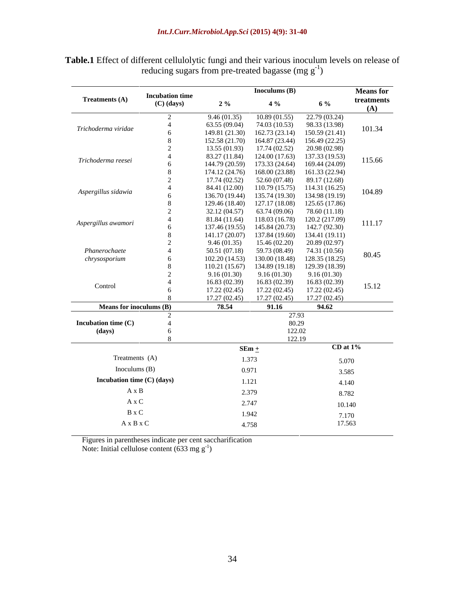### *Int.J.Curr.Microbiol.App.Sci* **(2015) 4(9): 31-40**

|                                                                                |                                        |       | Inoculums $(B)$                                                                                 |               | <b>Means</b> for                 |
|--------------------------------------------------------------------------------|----------------------------------------|-------|-------------------------------------------------------------------------------------------------|---------------|----------------------------------|
| <b>Treatments (A)</b>                                                          | <b>Incubation time</b><br>$(C)$ (days) | $2\%$ | $4\%$                                                                                           | 6 %           | treatments                       |
|                                                                                |                                        |       | 9.46 (01.35) 10.89 (01.55) 22.79 (03.24)                                                        |               | (A)                              |
| Trichoderma viridae                                                            |                                        |       | $63.55(09.04)$ $74.03(10.53)$ $98.33(13.98)$                                                    |               | 101.34                           |
|                                                                                |                                        |       | 149.81 (21.30) 162.73 (23.14) 150.59 (21.41)                                                    |               |                                  |
|                                                                                |                                        |       | $152.58(21.70)$ $164.87(23.44)$ $156.49(22.25)$<br>$13.55(01.93)$ $17.74(02.52)$ $20.98(02.98)$ |               |                                  |
| Trichoderma reesei                                                             |                                        |       | 83.27 (11.84) 124.00 (17.63) 137.33 (19.53)                                                     |               |                                  |
|                                                                                |                                        |       | $144.79(20.59)$ 173.33 (24.64) 169.44 (24.09)                                                   |               | 115.66                           |
|                                                                                |                                        |       | 174.12 (24.76) 168.00 (23.88) 161.33 (22.94)<br>$17.74(02.52)$ $52.60(07.48)$ $89.17(12.68)$    |               |                                  |
|                                                                                |                                        |       | 84.41 (12.00) 110.79 (15.75) 114.31 (16.25)                                                     |               |                                  |
| Aspergillus sidawia                                                            |                                        |       | 136.70 (19.44) 135.74 (19.30) 134.98 (19.19)                                                    |               | 104.89                           |
|                                                                                |                                        |       | 129.46 (18.40) 127.17 (18.08) 125.65 (17.86)                                                    |               |                                  |
|                                                                                |                                        |       | $32.12(04.57)$ $63.74(09.06)$ $78.60(11.18)$<br>81.84 (11.64) 118.03 (16.78) 120.2 (217.09)     |               |                                  |
| Aspergillus awamori                                                            |                                        |       | 137.46 (19.55) 145.84 (20.73) 142.7 (92.30)                                                     |               | 111.17                           |
|                                                                                |                                        |       | 141.17 (20.07) 137.84 (19.60) 134.41 (19.11)                                                    |               |                                  |
|                                                                                |                                        |       | 9.46 (01.35) 15.46 (02.20) 20.89 (02.97)                                                        |               |                                  |
| Phanerochaete<br>chrysosporium                                                 |                                        |       | $50.51(07.18)$ $59.73(08.49)$ $74.31(10.56)$<br>$102.20(14.53)$ $130.00(18.48)$ $128.35(18.25)$ |               | 80.45                            |
|                                                                                |                                        |       | 110.21 (15.67) 134.89 (19.18) 129.39 (18.39)                                                    |               |                                  |
|                                                                                |                                        |       | 9.16 (01.30) 9.16 (01.30) 9.16 (01.30)                                                          |               |                                  |
| Control                                                                        |                                        |       | $16.83(02.39)$ $16.83(02.39)$ $16.83(02.39)$                                                    |               | 15.12                            |
|                                                                                |                                        |       | $17.22(02.45)$ $17.22(02.45)$ $17.22(02.45)$                                                    |               |                                  |
| the control of the control of the control of<br><b>Means for inoculums (B)</b> |                                        | 78.54 | $17.27(02.45)$ $17.27(02.45)$ $17.27(02.45)$<br>91.16                                           | 94.62         | <u> The Common School (1989)</u> |
| and the control of the control of                                              |                                        |       | 27.93                                                                                           |               | <u> The Common School (1989)</u> |
| Incubation time (C)                                                            |                                        |       | 80.29                                                                                           |               |                                  |
| (days)                                                                         |                                        |       | 122.02<br>122.19                                                                                |               |                                  |
|                                                                                |                                        |       | $SEm +$                                                                                         | $CD$ at $1\%$ |                                  |
| Treatments (A)                                                                 |                                        |       | 1.373                                                                                           |               |                                  |
| Inoculums $(B)$                                                                |                                        |       | 0.971                                                                                           | 5.070         |                                  |
| Incubation time (C) (days)                                                     |                                        |       |                                                                                                 | 3.585         |                                  |
|                                                                                |                                        |       | 1.121                                                                                           | 4.140         |                                  |
| $A \times B$                                                                   |                                        |       | 2.379                                                                                           | 8.782         |                                  |
| A x C                                                                          |                                        |       | 2.747                                                                                           | 10.140        |                                  |
| B x C                                                                          |                                        |       | 1.942                                                                                           | 7.170         |                                  |
| A x B x C                                                                      |                                        |       | 4.758                                                                                           | 17.563        |                                  |

**Table.1** Effect of different cellulolytic fungi and their various inoculum levels on release of reducing sugars from pre-treated bagasse (mg  $g^{-1}$ )

Figures in parentheses indicate per cent saccharification

Note: Initial cellulose content  $(633 \text{ mg g}^{-1})$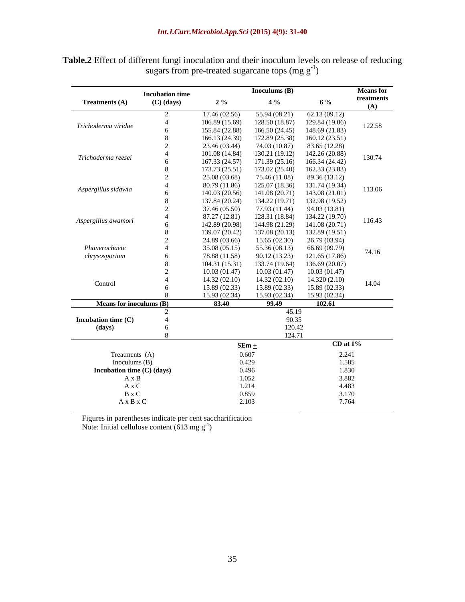|                                | <b>Incubation time</b> |                | Inoculums $(B)$                                                                  |                | <b>Means</b> for                                |
|--------------------------------|------------------------|----------------|----------------------------------------------------------------------------------|----------------|-------------------------------------------------|
| <b>Treatments (A)</b>          | $(C)$ (days)           | $2\%$          | $4\%$                                                                            | 6 %            | treatments                                      |
|                                |                        |                |                                                                                  |                | (A)                                             |
|                                |                        | 17.46 (02.56)  | $55.94(08.21)$ $62.13(09.12)$                                                    |                |                                                 |
| Trichoderma viridae            |                        | 106.89 (15.69) | 128.50 (18.87) 129.84 (19.06)<br>$155.84(22.88)$ $166.50(24.45)$ $148.69(21.83)$ |                | 122.58                                          |
|                                |                        | 166.13 (24.39) | 172.89 (25.38) 160.12 (23.51)                                                    |                |                                                 |
|                                |                        | 23.46 (03.44)  | 74.03 (10.87) 83.65 (12.28)                                                      |                |                                                 |
|                                |                        | 101.08(14.84)  | 130.21 (19.12) 142.26 (20.88)                                                    |                |                                                 |
| Trichoderma reesei             |                        | 167.33 (24.57) | 171.39 (25.16) 166.34 (24.42)                                                    |                | 130.74                                          |
|                                |                        |                | 173.73 (25.51) 173.02 (25.40) 162.33 (23.83)                                     |                |                                                 |
|                                |                        | 25.08 (03.68)  | $75.46(11.08)$ 89.36 (13.12)                                                     |                |                                                 |
|                                |                        | 80.79 (11.86)  | 125.07 (18.36) 131.74 (19.34)                                                    |                |                                                 |
| Aspergillus sidawia            |                        | 140.03 (20.56) | $141.08(20.71)$ 143.08 (21.01)                                                   |                | 113.06                                          |
|                                |                        | 137.84 (20.24) | 134.22 (19.71) 132.98 (19.52)                                                    |                |                                                 |
|                                |                        | 37.46 (05.50)  | 77.93 (11.44) 94.03 (13.81)                                                      |                |                                                 |
|                                |                        | 87.27 (12.81)  | 128.31 (18.84) 134.22 (19.70)                                                    |                |                                                 |
| Aspergillus awamori            |                        |                | 142.89 (20.98) 144.98 (21.29) 141.08 (20.71)                                     |                | 116.43                                          |
|                                |                        | 139.07 (20.42) | 137.08 (20.13) 132.89 (19.51)                                                    |                |                                                 |
|                                |                        | 24.89 (03.66)  | $15.65(02.30)$ $26.79(03.94)$                                                    |                |                                                 |
| Phanerochaete                  |                        | 35.08 (05.15)  | $55.36(08.13)$ $66.69(09.79)$                                                    |                | 74.16                                           |
| chrysosporium                  |                        | 78.88 (11.58)  | 90.12 (13.23)                                                                    | 121.65 (17.86) |                                                 |
|                                |                        | 104.31(15.31)  | 133.74 (19.64) 136.69 (20.07)                                                    |                |                                                 |
|                                |                        | 10.03 (01.47)  | $10.03(01.47)$ $10.03(01.47)$                                                    |                |                                                 |
| Control                        |                        | 14.32(02.10)   | 14.32 (02.10)                                                                    | 14.320(2.10)   | 14.04                                           |
|                                |                        | 15.89(02.33)   | 15.89(02.33)                                                                     | 15.89(02.33)   |                                                 |
|                                |                        | 15.93(02.34)   | $15.93(02.34)$ $15.93(02.34)$                                                    |                | the contract of the contract of the             |
| <b>Means for inoculums (B)</b> |                        | 83.40          | 99.49                                                                            | 102.61         |                                                 |
|                                |                        |                | 45.19                                                                            |                |                                                 |
| Incubation time (C)            |                        |                | 90.35                                                                            |                |                                                 |
| (days)                         |                        |                | 120.42                                                                           |                |                                                 |
|                                |                        |                | 124.71                                                                           |                | the contract of the contract of the contract of |
|                                |                        | $SEm +$        |                                                                                  | $CD$ at $1\%$  |                                                 |
| Treatments (A)                 |                        | 0.607          |                                                                                  | 2.241          |                                                 |
| Inoculums $(B)$                |                        | 0.429          |                                                                                  | 1.585          |                                                 |
| Incubation time (C) (days)     |                        | 0.496          |                                                                                  | 1.830          |                                                 |
| $A \times B$                   |                        | 1.052          |                                                                                  | 3.882          |                                                 |
| A x C                          |                        | 1.214          |                                                                                  | 4.483          |                                                 |
| B x C                          |                        | 0.859          |                                                                                  | 3.170          |                                                 |
| $A \times B \times C$          |                        | 2.103          |                                                                                  | 7.764          |                                                 |

**Table.2** Effect of different fungi inoculation and their inoculum levels on release of reducing sugars from pre-treated sugarcane tops  $(mg g^{-1})$ 

Figures in parentheses indicate per cent saccharification

Note: Initial cellulose content  $(613 \text{ mg g}^{-1})$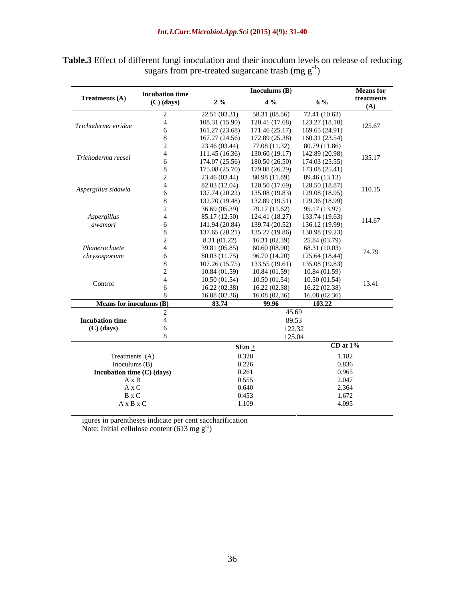### *Int.J.Curr.Microbiol.App.Sci* **(2015) 4(9): 31-40**

| Table.3 Effect<br>$\cdots$<br>t reducing<br>. inoculum levels on release $\cap$<br>tterent<br>$\sim$ $+$ $\sim$ $\sim$<br>$-1100$<br>$\sim$ . $\mu$ is the set of $\sim$ |  |  |
|--------------------------------------------------------------------------------------------------------------------------------------------------------------------------|--|--|
| $\sim$ created sugarcane trash (mg g $\sim$<br>sugars.<br>from pre                                                                                                       |  |  |

| the control of the control of the control of |                                        |                                                                                              | Inoculums $(B)$               |                               | <b>Means</b> for                             |
|----------------------------------------------|----------------------------------------|----------------------------------------------------------------------------------------------|-------------------------------|-------------------------------|----------------------------------------------|
| <b>Treatments (A)</b>                        | <b>Incubation time</b><br>$(C)$ (days) | $2\%$                                                                                        | $4\%$                         | 6 %                           | treatments                                   |
|                                              |                                        |                                                                                              |                               |                               | (A)                                          |
|                                              |                                        | 22.51 (03.31) 58.31 (08.56) 72.41 (10.63)                                                    |                               |                               |                                              |
| Trichoderma viridae                          |                                        | 108.31 (15.90) 120.41 (17.68) 123.27 (18.10)                                                 |                               |                               | 125.67                                       |
|                                              |                                        | 161.27 (23.68) 171.46 (25.17) 169.65 (24.91)<br>167.27 (24.56) 172.89 (25.38) 160.31 (23.54) |                               |                               |                                              |
|                                              |                                        | 23.46 (03.44) 77.08 (11.32) 80.79 (11.86)                                                    |                               |                               |                                              |
|                                              |                                        | $111.45(16.36)$ $130.60(19.17)$ $142.89(20.98)$                                              |                               |                               |                                              |
| Trichoderma reesei                           |                                        | $174.07(25.56)$ $180.50(26.50)$ $174.03(25.55)$                                              |                               |                               | 135.17                                       |
|                                              |                                        | 175.08 (25.70) 179.08 (26.29) 173.08 (25.41)                                                 |                               |                               |                                              |
|                                              |                                        | 23.46 (03.44) 80.98 (11.89) 89.46 (13.13)                                                    |                               |                               |                                              |
|                                              |                                        | 82.03 (12.04)                                                                                |                               | 120.50 (17.69) 128.50 (18.87) |                                              |
| Aspergillus sidawia                          |                                        | 137.74 (20.22)                                                                               |                               | 135.08 (19.83) 129.08 (18.95) | 110.15                                       |
|                                              |                                        | 132.70 (19.48) 132.89 (19.51) 129.36 (18.99)                                                 |                               |                               |                                              |
|                                              |                                        | 36.69 (05.39) 79.17 (11.62) 95.17 (13.97)                                                    |                               |                               |                                              |
| Aspergillus                                  |                                        | 85.17 (12.50)                                                                                |                               | 124.41 (18.27) 133.74 (19.63) |                                              |
| awamori                                      |                                        | 141.94 (20.84) 139.74 (20.52) 136.12 (19.99)                                                 |                               |                               | 114.67                                       |
|                                              |                                        | 137.65 (20.21) 135.27 (19.86) 130.98 (19.23)                                                 |                               |                               |                                              |
|                                              |                                        | 8.31 (01.22)                                                                                 | $16.31(02.39)$ $25.84(03.79)$ |                               |                                              |
| Phanerochaete                                |                                        | 39.81 (05.85)                                                                                | $60.60(08.90)$ $68.31(10.03)$ |                               |                                              |
| chrysosporium                                |                                        | 80.03 (11.75)                                                                                | 96.70 (14.20) 125.64 (18.44)  |                               | 74.79                                        |
|                                              |                                        | 107.26(15.75)                                                                                | 133.55 (19.61) 135.08 (19.83) |                               |                                              |
|                                              |                                        | 10.84(01.59)                                                                                 | 10.84 (01.59)                 | 10.84 (01.59)                 |                                              |
|                                              |                                        | 10.50(01.54)                                                                                 | 10.50(01.54)                  | 10.50(01.54)                  |                                              |
| Control                                      |                                        | 16.22 (02.38)                                                                                | 16.22 (02.38)                 | 16.22 (02.38)                 | 13.41                                        |
|                                              |                                        | 16.08 (02.36)                                                                                | $16.08(02.36)$ $16.08(02.36)$ |                               |                                              |
| <b>Means for inoculums (B)</b>               |                                        | 83.74                                                                                        | 99.96                         | 103.22                        |                                              |
|                                              |                                        |                                                                                              | 45.69                         |                               | the control of the control of the control of |
| <b>Incubation time</b>                       |                                        |                                                                                              | 89.53                         |                               |                                              |
| $(C)$ (days)                                 |                                        |                                                                                              | 122.32                        |                               |                                              |
|                                              |                                        |                                                                                              | 125.04                        |                               |                                              |
|                                              |                                        | $SEm +$                                                                                      |                               | $CD$ at $1\%$                 | the control of the control of the con-       |
| Treatments (A)                               |                                        | 0.320                                                                                        |                               | 1.182                         |                                              |
| Inoculums $(B)$                              |                                        | 0.226                                                                                        |                               | 0.836                         |                                              |
| Incubation time (C) (days)                   |                                        | 0.261                                                                                        |                               | 0.965                         |                                              |
| $A \times B$                                 |                                        | 0.555                                                                                        |                               | 2.047                         |                                              |
| A x C                                        |                                        | 0.640                                                                                        |                               | 2.364                         |                                              |
| B x C                                        |                                        | 0.453                                                                                        |                               | 1.672                         |                                              |
| $\mathbf A$ x B x C                          |                                        | 1.109                                                                                        |                               | 4.095                         |                                              |
|                                              |                                        |                                                                                              |                               |                               |                                              |

igures in parentheses indicate per cent saccharification

Note: Initial cellulose content  $(613 \text{ mg g}^{-1})$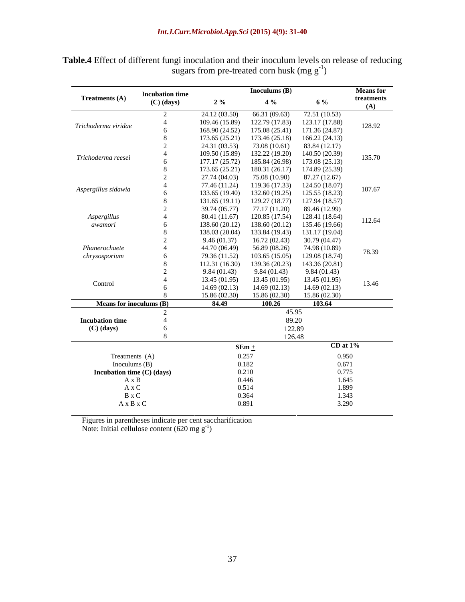### *Int.J.Curr.Microbiol.App.Sci* **(2015) 4(9): 31-40**

| the control of the control of the           | <b>Incubation time</b> |                                                                                              | Inoculums $(B)$               |                               | <b>Means for</b>                                                                                                                                                                                                                     |
|---------------------------------------------|------------------------|----------------------------------------------------------------------------------------------|-------------------------------|-------------------------------|--------------------------------------------------------------------------------------------------------------------------------------------------------------------------------------------------------------------------------------|
| <b>Treatments (A)</b>                       | $(C)$ (days)           | $2\%$                                                                                        | $4\%$                         | 6 %                           | treatments                                                                                                                                                                                                                           |
|                                             |                        |                                                                                              |                               |                               | (A)                                                                                                                                                                                                                                  |
|                                             |                        | 24.12 (03.50) 66.31 (09.63) 72.51 (10.53)<br>109.46 (15.89)                                  |                               | 122.79 (17.83) 123.17 (17.88) |                                                                                                                                                                                                                                      |
| Trichoderma viridae                         |                        | 168.90 (24.52) 175.08 (25.41) 171.36 (24.87)                                                 |                               |                               | 128.92                                                                                                                                                                                                                               |
|                                             |                        | 173.65 (25.21) 173.46 (25.18) 166.22 (24.13)                                                 |                               |                               |                                                                                                                                                                                                                                      |
|                                             |                        | 24.31 (03.53)                                                                                | 73.08 (10.61) 83.84 (12.17)   |                               |                                                                                                                                                                                                                                      |
| Trichoderma reesei                          |                        | 109.50 (15.89)                                                                               | 132.22 (19.20) 140.50 (20.39) |                               | 135.70                                                                                                                                                                                                                               |
|                                             |                        | 177.17 (25.72) 185.84 (26.98) 173.08 (25.13)                                                 |                               |                               |                                                                                                                                                                                                                                      |
|                                             |                        | $173.65(25.21)$ $180.31(26.17)$ $174.89(25.39)$                                              |                               |                               |                                                                                                                                                                                                                                      |
|                                             |                        | 27.74 (04.03)                                                                                | 75.08 (10.90) 87.27 (12.67)   |                               |                                                                                                                                                                                                                                      |
| Aspergillus sidawia                         |                        | 77.46 (11.24)                                                                                | 119.36 (17.33) 124.50 (18.07) |                               | 107.67                                                                                                                                                                                                                               |
|                                             |                        | 133.65 (19.40) 132.60 (19.25) 125.55 (18.23)                                                 |                               |                               |                                                                                                                                                                                                                                      |
|                                             |                        | 131.65 (19.11) 129.27 (18.77) 127.94 (18.57)                                                 |                               |                               |                                                                                                                                                                                                                                      |
|                                             |                        | 39.74 (05.77) 77.17 (11.20) 89.46 (12.99)                                                    |                               |                               |                                                                                                                                                                                                                                      |
| Aspergillus                                 |                        | 80.41 (11.67)                                                                                | 120.85 (17.54) 128.41 (18.64) |                               | 112.64                                                                                                                                                                                                                               |
| awamori                                     |                        | 138.60 (20.12) 138.60 (20.12) 135.46 (19.66)<br>138.03 (20.04) 133.84 (19.43) 131.17 (19.04) |                               |                               |                                                                                                                                                                                                                                      |
|                                             |                        | 9.46(01.37)                                                                                  | 16.72(02.43)                  | 30.79 (04.47)                 |                                                                                                                                                                                                                                      |
| Phanerochaete                               |                        | 44.70 (06.49)                                                                                | 56.89 (08.26)                 | 74.98 (10.89)                 |                                                                                                                                                                                                                                      |
| chrysosporium                               |                        | 79.36 (11.52)                                                                                | 103.65 (15.05) 129.08 (18.74) |                               | 78.39                                                                                                                                                                                                                                |
|                                             |                        | $112.31(16.30)$ $139.36(20.23)$ $143.36(20.81)$                                              |                               |                               |                                                                                                                                                                                                                                      |
|                                             |                        | 9.84(01.43)                                                                                  | 9.84(01.43)                   | 9.84(01.43)                   |                                                                                                                                                                                                                                      |
|                                             |                        | 13.45(01.95)                                                                                 | 13.45(01.95)                  | 13.45(01.95)                  |                                                                                                                                                                                                                                      |
| Control                                     |                        | 14.69(02.13)                                                                                 | 14.69(02.13)                  | 14.69(02.13)                  | 13.46                                                                                                                                                                                                                                |
|                                             |                        | 15.86(02.30)                                                                                 | $15.86(02.30)$ $15.86(02.30)$ |                               |                                                                                                                                                                                                                                      |
| <b>Means for inoculums <math>(B)</math></b> |                        | 84.49                                                                                        | 100.26                        | 103.64                        | the contract of the contract of the                                                                                                                                                                                                  |
|                                             |                        |                                                                                              | 45.95                         |                               |                                                                                                                                                                                                                                      |
| <b>Incubation time</b>                      |                        |                                                                                              | 89.20                         |                               |                                                                                                                                                                                                                                      |
| $(C)$ (days)                                |                        |                                                                                              | 122.89                        |                               |                                                                                                                                                                                                                                      |
|                                             |                        |                                                                                              | 126.48                        |                               | <u> The Common State Common State Common State Common State Common State Common State Common State Common State Common State Common State Common State Common State Common State Common State Common State Common State Common S</u> |
|                                             |                        | $SEm \pm$                                                                                    |                               | $CD$ at $1\%$                 |                                                                                                                                                                                                                                      |
| Treatments (A)                              |                        | 0.257                                                                                        |                               | 0.950                         |                                                                                                                                                                                                                                      |
| Inoculums $(B)$                             |                        | 0.182                                                                                        |                               | 0.671                         |                                                                                                                                                                                                                                      |
| Incubation time (C) (days)                  |                        | 0.210                                                                                        |                               | 0.775                         |                                                                                                                                                                                                                                      |
| $A \times B$                                |                        | 0.446                                                                                        |                               | 1.645                         |                                                                                                                                                                                                                                      |
| A x C                                       |                        | 0.514                                                                                        |                               | 1.899                         |                                                                                                                                                                                                                                      |
| B x C                                       |                        | 0.364                                                                                        |                               | 1.343                         |                                                                                                                                                                                                                                      |
| $\mathbf A$ x B x C                         |                        | 0.891                                                                                        |                               | 3.290                         |                                                                                                                                                                                                                                      |

**Table.4** Effect of different fungi inoculation and their inoculum levels on release of reducing sugars from pre-treated corn husk  $(mg g^{-1})$ 

Figures in parentheses indicate per cent saccharification Note: Initial cellulose content  $(620 \text{ mg g}^{-1})$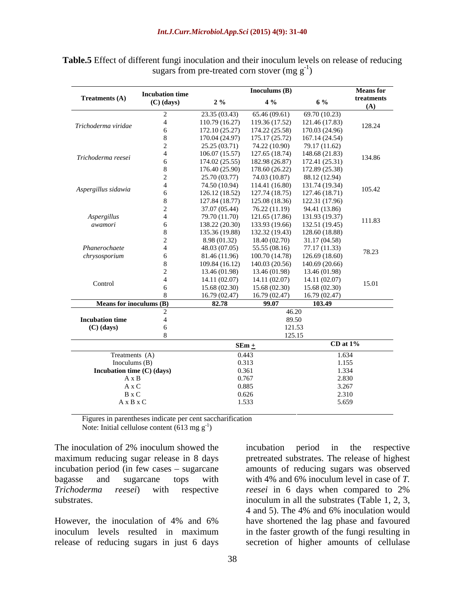|                            | <b>Incubation time</b> |                                               | Inoculums $(B)$                 |               | <b>Means</b> for                                |
|----------------------------|------------------------|-----------------------------------------------|---------------------------------|---------------|-------------------------------------------------|
| <b>Treatments (A)</b>      | $(C)$ (days)           | $2\%$                                         | $4\%$                           | 6 %           | treatments                                      |
|                            |                        |                                               |                                 |               | (A)                                             |
|                            |                        | 23.35 (03.43) 65.46 (09.61) 69.70 (10.23)     |                                 |               |                                                 |
| Trichoderma viridae        |                        | 110.79 (16.27)                                | 119.36 (17.52) 121.46 (17.83)   |               | 128.24                                          |
|                            |                        | 172.10 (25.27) 174.22 (25.58) 170.03 (24.96)  |                                 |               |                                                 |
|                            |                        | 170.04 (24.97) 175.17 (25.72) 167.14 (24.54)  |                                 |               |                                                 |
|                            |                        | 25.25 (03.71)                                 | 74.22 (10.90) 79.17 (11.62)     |               |                                                 |
| Trichoderma reesei         |                        | $106.07(15.57)$ 127.65 (18.74) 148.68 (21.83) |                                 |               | 134.86                                          |
|                            |                        | 174.02 (25.55) 182.98 (26.87) 172.41 (25.31)  |                                 |               |                                                 |
|                            |                        | 176.40 (25.90) 178.60 (26.22) 172.89 (25.38)  |                                 |               |                                                 |
|                            |                        | 25.70 (03.77)                                 | 74.03 (10.87) 88.12 (12.94)     |               |                                                 |
| Aspergillus sidawia        |                        | 74.50 (10.94)                                 | 114.41 (16.80) 131.74 (19.34)   |               | 105.42                                          |
|                            |                        | 126.12 (18.52)                                | 127.74 (18.75) 127.46 (18.71)   |               |                                                 |
|                            |                        | 127.84 (18.77) 125.08 (18.36) 122.31 (17.96)  |                                 |               |                                                 |
|                            |                        | $37.07(05.44)$ $76.22(11.19)$ $94.41(13.86)$  |                                 |               |                                                 |
| Aspergillus                |                        | 79.70 (11.70)                                 | 121.65 (17.86) 131.93 (19.37)   |               | 111.83                                          |
| awamori                    |                        | 138.22 (20.30) 133.93 (19.66) 132.51 (19.45)  |                                 |               |                                                 |
|                            |                        | 135.36 (19.88) 132.32 (19.43) 128.60 (18.88)  |                                 |               |                                                 |
|                            |                        | 8.98 (01.32)                                  | $18.40(02.70)$ $31.17(04.58)$   |               |                                                 |
| Phanerochaete              |                        | 48.03 (07.05)                                 | 55.55 (08.16)                   | 77.17 (11.33) | 78.23                                           |
| chrysosporium              |                        | 81.46 (11.96)                                 | $100.70(14.78)$ $126.69(18.60)$ |               |                                                 |
|                            |                        | 109.84 (16.12)                                | 140.03 (20.56) 140.69 (20.66)   |               |                                                 |
|                            |                        | 13.46 (01.98)                                 | 13.46 (01.98)                   | 13.46 (01.98) |                                                 |
| Control                    |                        | 14.11(02.07)                                  | 14.11(02.07)                    | 14.11 (02.07) | 15.01                                           |
|                            |                        | 15.68(02.30)                                  | 15.68(02.30)                    | 15.68 (02.30) |                                                 |
|                            |                        | $16.79(02.47)$ $16.79(02.47)$ $16.79(02.47)$  |                                 |               |                                                 |
| Means for inoculums (B)    |                        | 82.78                                         | 99.07                           | 103.49        |                                                 |
|                            |                        |                                               | 46.20                           |               |                                                 |
| <b>Incubation time</b>     |                        |                                               | 89.50                           |               |                                                 |
| $(C)$ (days)               |                        |                                               | 121.53                          |               |                                                 |
|                            |                        |                                               | 125.15                          |               | the contract of the contract of the contract of |
|                            |                        | $SEm +$                                       |                                 | $CD$ at $1\%$ |                                                 |
| Treatments (A)             |                        | 0.443                                         |                                 | 1.634         |                                                 |
| Inoculums $(B)$            |                        | 0.313                                         |                                 | 1.155         |                                                 |
| Incubation time (C) (days) |                        | 0.361                                         |                                 | 1.334         |                                                 |
| $A \times B$               |                        | 0.767                                         |                                 | 2.830         |                                                 |
| A x C                      |                        | 0.885                                         |                                 | 3.267         |                                                 |
| B x C                      |                        | 0.626                                         |                                 | 2.310         |                                                 |
| A x B x C                  |                        | 1.533                                         |                                 | 5.659         |                                                 |

**Table.5** Effect of different fungi inoculation and their inoculum levels on release of reducing sugars from pre-treated corn stover  $(mg g^{-1})$ ) and the contract of  $\mathcal{L}$ 

Figures in parentheses indicate per cent saccharification Note: Initial cellulose content (613 mg  $g^{-1}$ ) ) and the contract of  $\mathcal{L}$  and  $\mathcal{L}$  and  $\mathcal{L}$  and  $\mathcal{L}$  and  $\mathcal{L}$  and  $\mathcal{L}$  and  $\mathcal{L}$  and  $\mathcal{L}$  and  $\mathcal{L}$  and  $\mathcal{L}$  and  $\mathcal{L}$  and  $\mathcal{L}$  and  $\mathcal{L}$  and  $\mathcal{L}$  and  $\mathcal{L}$  and  $\mathcal$ 

The inoculation of 2% inoculum showed the incubation period in the respective maximum reducing sugar release in 8 days pretreated substrates. The release of highest incubation period (in few cases  $-$  sugarcane bagasse and sugarcane tops with with 4% and 6% inoculum level in case of *T. Trichoderma reesei*) with respective

release of reducing sugars in just 6 days secretion of higher amounts of cellulase

substrates.  $\blacksquare$  inoculum in all the substrates (Table 1, 2, 3, However, the inoculation of 4% and 6% have shortened the lag phase and favoured inoculum levels resulted in maximum in the faster growth of the fungi resulting in amounts of reducing sugars was observed *reesei* in 6 days when compared to 2% 4 and 5). The 4% and 6% inoculation would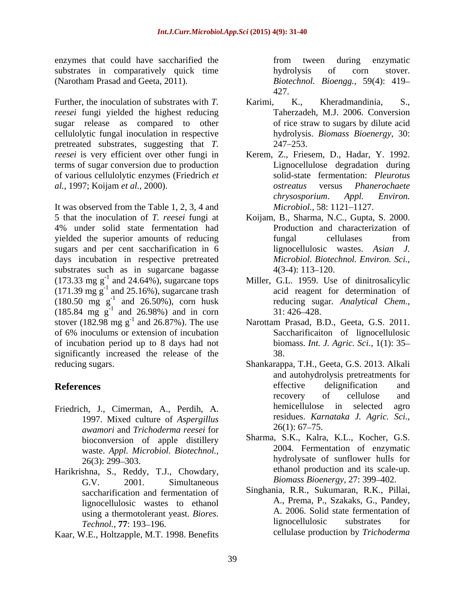enzymes that could have saccharified the from tween during enzymatic substrates in comparatively quick time by hydrolysis of corn stover. (Narotham Prasad and Geeta, 2011). *Biotechnol. Bioengg.,* 59(4): 419

Further, the inoculation of substrates with *T*. **Karimi. K., Kheradmandinia. S.**, *reesei* fungi yielded the highest reducing sugar release as compared to other of rice straw to sugars by dilute acid cellulolytic fungal inoculation in respective pretreated substrates, suggesting that *T. reesei* is very efficient over other fungi in Kerem, Z., Friesem, D., Hadar, Y. 1992. terms of sugar conversion due to production of various cellulolytic enzymes (Friedrich *et al.,* 1997; Koijam *et al.,* 2000).

It was observed from the Table 1, 2, 3, 4 and *Microbiol.*, 58: 1121–1127. 5 that the inoculation of *T. reesei* fungi at Koijam, B., Sharma, N.C., Gupta, S. 2000. 4% under solid state fermentation had yielded the superior amounts of reducing sugars and per cent saccharification in 6 lignocellulosic wastes. Asian J. days incubation in respective pretreated substrates such as in sugarcane bagasse  $4(3-4)$ : 113–120.  $(173.33 \text{ mg g}^{-1}$  and 24.64%), sugarcane tops  $(171.39 \text{ mg g}^{-1}$  and 25.16%), sugarcane trash  $(180.50 \text{ mg g}^{-1}$  and  $26.50\%)$ , corn husk reducing sugar. Analytical Chem.,  $(185.84 \text{ mg g}^{-1} \text{ and } 26.98\%)$  and in corn  $31:426-428$ . stover  $(182.98 \text{ mg g}^{-1}$  and  $26.87\%)$ . The use Narottam Prasad, B.D., Geeta, G.S. 2011. of 6% inoculums or extension of incubation of incubation period up to 8 days had not significantly increased the release of the 38.

- 1997. Mixed culture of *Aspergillus* residues. Kar residues **Example 1997**. Mixed culture of *Aspergillus* 26(1): 67–75. *awamori* and *Trichoderma reesei* for bioconversion of apple distillery waste. *Appl. Microbiol. Biotechnol.,*
- Harikrishna, S., Reddy, T.J., Chowdary, G.V.  $2001.$  Simultaneous *Biomass Bioenergy*,  $27:399-402.$ saccharification and fermentation of lignocellulosic wastes to ethanol
- Kaar, W.E., Holtzapple, M.T. 1998. Benefits

from tween during enzymatic hydrolysis of corn stover. 427.

- Karimi, K., Kheradmandinia, S., Taherzadeh, M.J. 2006. Conversion of rice straw to sugars by dilute acid hydrolysis. *Biomass Bioenergy,* 30: 247 253.
- Lignocellulose degradation during solid-state fermentation: *Pleurotus ostreatus* versus *Phanerochaete chrysosporium*. *Appl. Environ. Microbiol.,* 58: 1121–1127.
- Production and characterization of fungal cellulases from lignocellulosic wastes. *Asian J. Microbiol. Biotechnol. Environ. Sci.,*  $4(3-4): 113-120.$
- <sup>-1</sup> and 24.64%), sugarcane tops Miller, G.L. 1959. Use of dinitrosalicylic and 25.16%), sugarcane trash acid reagent for determination of -1 and 26.50%), corn husk reducing sugar*. Analytical Chem.,* 31: 426 428.
	- <sup>-1</sup> and 26.87%). The use Marottam Prasad, B.D., Geeta, G.S. 2011. Saccharificaiton of lignocellulosic biomass. *Int. J. Agric. Sci*., 1(1): 35 38.
- reducing sugars. Shankarappa, T.H., Geeta, G.S. 2013. Alkali **References** and **References** and **References** and **References** and **References** and **References** and **References** and **References** and **References** and **References** and **References** and **References** and **References** and Friedrich, J., Cimerman, A., Perdih, A. and autohydrolysis pretreatments for effective delignification and recovery of cellulose and hemicellulose in selected agro residues. *Karnataka J. Agric. Sci.,*  $26(1)$ : 67–75.
	- 26(3): 299–303. hydrolysate of sunflower hulls for Sharma, S.K., Kalra, K.L., Kocher, G.S. 2004. Fermentation of enzymatic hydrolysate of sunflower hulls for ethanol production and its scale-up. *Biomass Bioenergy, 27: 399-402.*
	- using a thermotolerant yeast. *Biores*. <br> **Example 77:** 103, 106 **a** 106 **b** lignocellulosic substrates for *Technol.,* **77**: 193 196. Singhania, R.R., Sukumaran, R.K., Pillai, A., Prema, P., Szakaks, G., Pandey, A. 2006. Solid state fermentation of lignocellulosic substrates for cellulase production by *Trichoderma*